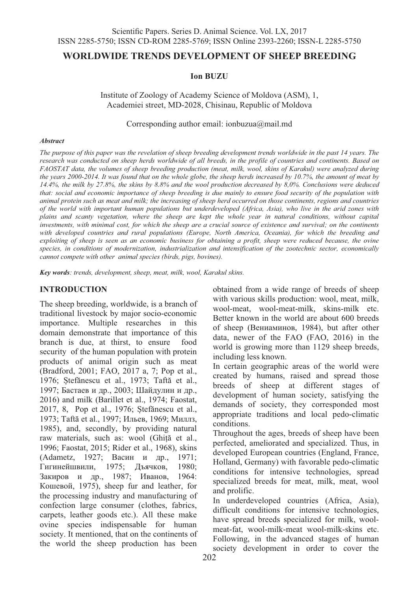## **WORLDWIDE TRENDS DEVELOPMENT OF SHEEP BREEDING**

#### **Ion BUZU**

Institute of Zoology of Academy Science of Moldova (ASM), 1, Academiei street, MD-2028, Chisinau, Republic of Moldova

Corresponding author email: ionbuzua@mail.md

#### *Abstract*

*The purpose of this paper was the revelation of sheep breeding development trends worldwide in the past 14 years. The research was conducted on sheep herds worldwide of all breeds, in the profile of countries and continents. Based on FAOSTAT data, the volumes of sheep breeding production (meat, milk, wool, skins of Karakul) were analyzed during*  the years 2000-2014. It was found that on the whole globe, the sheep herds increased by 10.7%, the amount of meat by *14.4%, the milk by 27.8%, the skins by 8.8% and the wool production decreased by 8,0%. Conclusions were deduced that: social and economic importance of sheep breeding is due mainly to ensure food security of the population with animal protein such as meat and milk; the increasing of sheep herd occurred on those continents, regions and countries of the world with important human populations but underdeveloped (Africa, Asia), who live in the arid zones with plains and scanty vegetation, where the sheep are kept the whole year in natural conditions, without capital investments, with minimal cost, for which the sheep are a crucial source of existence and survival; on the continents with developed countries and rural populations (Europe, North America, Oceania), for which the breeding and*  exploiting of sheep is seen as an economic business for obtaining a profit, sheep were reduced because, the ovine *species, in conditions of modernization, industrialization and intensification of the zootechnic sector, economically cannot compete with other animal species (birds, pigs, bovines).* 

*Key words: trends, development, sheep, meat, milk, wool, Karakul skins.* 

## **INTRODUCTION**

The sheep breeding, worldwide, is a branch of traditional livestock by major socio-economic importance. Multiple researches in this domain demonstrate that importance of this branch is due, at thirst, to ensure food security of the human population with protein products of animal origin such as meat (Bradford, 2001; FAO, 2017 a, 7; Pop et al., 1976; Ștefănescu et al., 1973; Taftă et al., 1997; Бастаев и др., 2003; Шайдулин и др., 2016) and milk (Barillet et al., 1974; Faostat, 2017, 8, Pop et al., 1976; Ștefănescu et al., 1973; Taftă et al., 1997; Ильев, 1969; Миллз, 1985), and, secondly, by providing natural raw materials, such as: wool (Ghiță et al., 1996; Faostat, 2015; Rider et al., 1968), skins (Adametz, 1927; Васин и др., 1971; Гигинейшвили, 1975; Дъячков, 1980; Закиров и др., 1987; Иванов, 1964: Кошевой, 1975), sheep fur and leather, for the processing industry and manufacturing of confection large consumer (clothes, fabrics, carpets, leather goods etc.). All these make ovine species indispensable for human society. It mentioned, that on the continents of the world the sheep production has been

obtained from a wide range of breeds of sheep with various skills production: wool, meat, milk, wool-meat, wool-meat-milk, skins-milk etc. Better known in the world are about 600 breeds of sheep (Вениаминов, 1984), but after other data, newer of the FAO (FAO, 2016) in the world is growing more than 1129 sheep breeds, including less known.

In certain geographic areas of the world were created by humans, raised and spread those breeds of sheep at different stages of development of human society, satisfying the demands of society, they corresponded most appropriate traditions and local pedo-climatic conditions.

Throughout the ages, breeds of sheep have been perfected, ameliorated and specialized. Thus, in developed European countries (England, France, Holland, Germany) with favorable pedo-climatic conditions for intensive technologies, spread specialized breeds for meat, milk, meat, wool and prolific.

In underdeveloped countries (Africa, Asia), difficult conditions for intensive technologies, have spread breeds specialized for milk, woolmeat-fat, wool-milk-meat wool-milk-skins etc. Following, in the advanced stages of human society development in order to cover the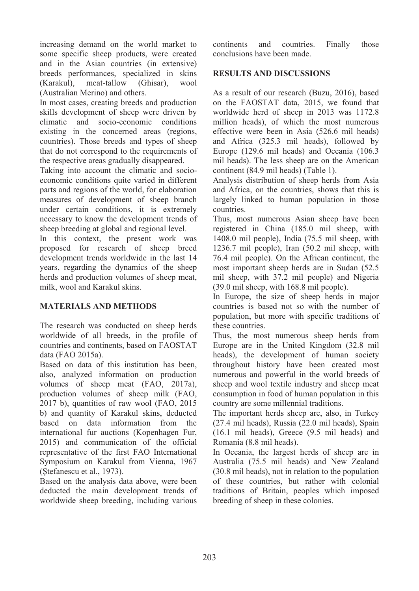increasing demand on the world market to some specific sheep products, were created and in the Asian countries (in extensive) breeds performances, specialized in skins (Karakul), meat-tallow (Ghisar), wool (Australian Merino) and others.

In most cases, creating breeds and production skills development of sheep were driven by climatic and socio-economic conditions existing in the concerned areas (regions, countries). Those breeds and types of sheep that do not correspond to the requirements of the respective areas gradually disappeared.

Taking into account the climatic and socioeconomic conditions quite varied in different parts and regions of the world, for elaboration measures of development of sheep branch under certain conditions, it is extremely necessary to know the development trends of sheep breeding at global and regional level.

In this context, the present work was proposed for research of sheep breed development trends worldwide in the last 14 years, regarding the dynamics of the sheep herds and production volumes of sheep meat, milk, wool and Karakul skins.

## **MATERIALS AND METHODS**

The research was conducted on sheep herds worldwide of all breeds, in the profile of countries and continents, based on FAOSTAT data (FAO 2015a).

Based on data of this institution has been, also, analyzed information on production volumes of sheep meat (FAO, 2017a), production volumes of sheep milk (FAO, 2017 b), quantities of raw wool (FAO, 2015 b) and quantity of Karakul skins, deducted based on data information from the international fur auctions (Kopenhagen Fur, 2015) and communication of the official representative of the first FAO International Symposium on Karakul from Vienna, 1967 (Ştefanescu et al., 1973).

Based on the analysis data above, were been deducted the main development trends of worldwide sheep breeding, including various continents and countries. Finally those conclusions have been made.

## **RESULTS AND DISCUSSIONS**

As a result of our research (Buzu, 2016), based on the FAOSTAT data, 2015, we found that worldwide herd of sheep in 2013 was 1172.8 million heads), of which the most numerous effective were been in Asia (526.6 mil heads) and Africa (325.3 mil heads), followed by Europe (129.6 mil heads) and Oceania (106.3 mil heads). The less sheep are on the American continent (84.9 mil heads) (Table 1).

Analysis distribution of sheep herds from Asia and Africa, on the countries, shows that this is largely linked to human population in those countries.

Thus, most numerous Asian sheep have been registered in China (185.0 mil sheep, with 1408.0 mil people), India (75.5 mil sheep, with 1236.7 mil people), Iran (50.2 mil sheep, with 76.4 mil people). On the African continent, the most important sheep herds are in Sudan (52.5 mil sheep, with 37.2 mil people) and Nigeria (39.0 mil sheep, with 168.8 mil people).

In Europe, the size of sheep herds in major countries is based not so with the number of population, but more with specific traditions of these countries.

Thus, the most numerous sheep herds from Europe are in the United Kingdom (32.8 mil heads), the development of human society throughout history have been created most numerous and powerful in the world breeds of sheep and wool textile industry and sheep meat consumption in food of human population in this country are some millennial traditions.

The important herds sheep are, also, in Turkey (27.4 mil heads), Russia (22.0 mil heads), Spain (16.1 mil heads), Greece (9.5 mil heads) and Romania (8.8 mil heads).

In Oceania, the largest herds of sheep are in Australia (75.5 mil heads) and New Zealand (30.8 mil heads), not in relation to the population of these countries, but rather with colonial traditions of Britain, peoples which imposed breeding of sheep in these colonies.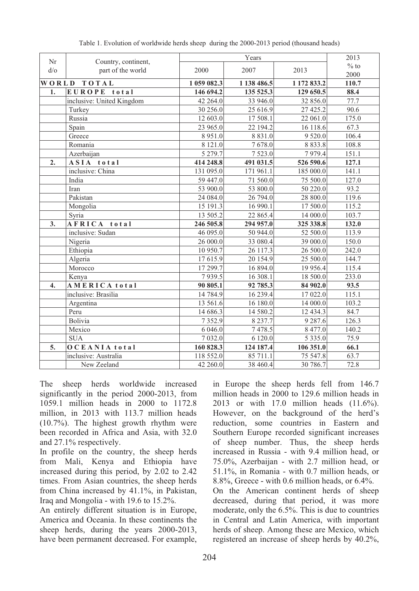| Nr            | Country, continent,       | Years       |             |             | 2013   |
|---------------|---------------------------|-------------|-------------|-------------|--------|
| $d$ / $\circ$ | part of the world         | 2000        | 2007        | 2013        | $%$ to |
|               |                           |             |             |             | 2000   |
| WORLD         | TOTAL                     | 1 059 082.3 | 1 138 486.5 | 1 172 833.2 | 110.7  |
| 1.            | EUROPE total              | 146 694.2   | 135 525.3   | 129 650.5   | 88.4   |
|               | inclusive: United Kingdom | 42 264.0    | 33 946.0    | 32 856.0    | 77.7   |
|               | Turkey                    | 30 256.0    | 25 616.9    | 27 425.2    | 90.6   |
|               | Russia                    | 12 603.0    | 17 508.1    | 22 061.0    | 175.0  |
|               | Spain                     | 23 965.0    | 22 194.2    | 16 118.6    | 67.3   |
|               | Greece                    | 8 9 5 1 .0  | 8 8 3 1 . 0 | 9 5 20.0    | 106.4  |
|               | Romania                   | 8 121.0     | 7678.0      | 8833.8      | 108.8  |
|               | Azerbaijan                | 5 279.7     | 7 5 2 3 .0  | 7979.4      | 151.1  |
| 2.            | ASIA total                | 414 248.8   | 491 031.5   | 526 590.6   | 127.1  |
|               | inclusive: China          | 131 095.0   | 171 961.1   | 185 000.0   | 141.1  |
|               | India                     | 59 447.0    | 71 560.0    | 75 500.0    | 127.0  |
|               | Iran                      | 53 900.0    | 53 800.0    | 50 220.0    | 93.2   |
|               | Pakistan                  | 24 084.0    | 26 794.0    | 28 800.0    | 119.6  |
|               | Mongolia                  | 15 191.3    | 16 990.1    | 17 500.0    | 115.2  |
|               | Syria                     | 13 505.2    | 22 865.4    | 14 000.0    | 103.7  |
| 3.            | AFRICA total              | 246 505.8   | 294 957.0   | 325 338.8   | 132.0  |
|               | inclusive: Sudan          | 46 095.0    | 50 944.0    | 52 500.0    | 113.9  |
|               | Nigeria                   | 26 000.0    | 33 080.4    | 39 000.0    | 150.0  |
|               | Ethiopia                  | 10 950.7    | 26 117.3    | 26 500.0    | 242.0  |
|               | Algeria                   | 17615.9     | 20 154.9    | 25 500.0    | 144.7  |
|               | Morocco                   | 17 299.7    | 16 894.0    | 19 956.4    | 115.4  |
|               | Kenya                     | 7939.5      | 16 308.1    | 18 500.0    | 233.0  |
| 4.            | AMERICA total             | 90 805.1    | 92 785.3    | 84 902.0    | 93.5   |
|               | inclusive: Brasilia       | 14 784.9    | 16 239.4    | 17 022.0    | 115.1  |
|               | Argentina                 | 13 561.6    | 16 180.0    | 14 000.0    | 103.2  |
|               | Peru                      | 14 686.3    | 14 580.2    | 12 434.3    | 84.7   |
|               | Bolivia                   | 7 3 5 2.9   | 8 2 3 7 . 7 | 9 2 8 7 . 6 | 126.3  |
|               | Mexico                    | 6 0 4 6 .0  | 7478.5      | 8 477.0     | 140.2  |
|               | <b>SUA</b>                | 7 0 3 2.0   | 6 1 2 0.0   | 5 3 3 5 .0  | 75.9   |
| 5.            | OCEANIA total             | 160 828.3   | 124 187.4   | 106 351.0   | 66.1   |
|               | inclusive: Australia      | 118 552.0   | 85 711.1    | 75 547.8    | 63.7   |
|               | New Zeeland               | 42 260.0    | 38 460.4    | 30 786.7    | 72.8   |

Table 1. Evolution of worldwide herds sheep during the 2000-2013 period (thousand heads)

The sheep herds worldwide increased significantly in the period 2000-2013, from 1059.1 million heads in 2000 to 1172.8 million, in 2013 with 113.7 million heads (10.7%). The highest growth rhythm were been recorded in Africa and Asia, with 32.0 and 27.1% respectively.

In profile on the country, the sheep herds from Mali, Kenya and Ethiopia have increased during this period, by 2.02 to 2.42 times. From Asian countries, the sheep herds from China increased by 41.1%, in Pakistan, Iraq and Mongolia - with 19.6 to 15.2%.

An entirely different situation is in Europe, America and Oceania. In these continents the sheep herds, during the years 2000-2013, have been permanent decreased. For example, in Europe the sheep herds fell from 146.7 million heads in 2000 to 129.6 million heads in 2013 or with 17.0 million heads (11.6%). However, on the background of the herd's reduction, some countries in Eastern and Southern Europe recorded significant increases of sheep number. Thus, the sheep herds increased in Russia - with 9.4 million head, or 75.0%, Azerbaijan - with 2.7 million head, or 51.1%, in Romania - with 0.7 million heads, or 8.8%, Greece - with 0.6 million heads, or 6.4%. On the American continent herds of sheep decreased, during that period, it was more moderate, only the 6.5%. This is due to countries in Central and Latin America, with important herds of sheep. Among these are Mexico, which registered an increase of sheep herds by 40.2%,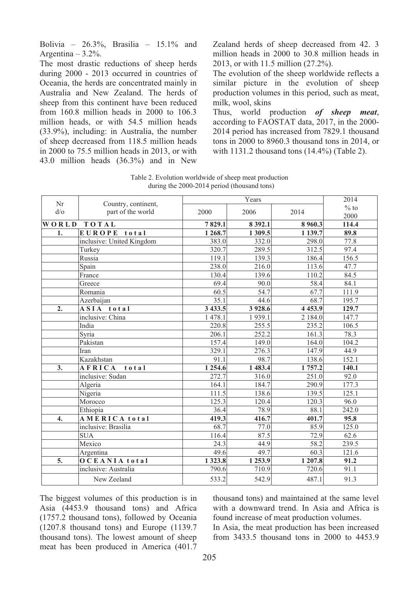Bolivia –  $26.3\%$ , Brasilia –  $15.1\%$  and Argentina –  $3.2\%$ .

The most drastic reductions of sheep herds during 2000 - 2013 occurred in countries of Oceania, the herds are concentrated mainly in Australia and New Zealand. The herds of sheep from this continent have been reduced from 160.8 million heads in 2000 to 106.3 million heads, or with 54.5 million heads (33.9%), including: in Australia, the number of sheep decreased from 118.5 million heads in 2000 to 75.5 million heads in 2013, or with 43.0 million heads (36.3%) and in New Zealand herds of sheep decreased from 42. 3 million heads in 2000 to 30.8 million heads in 2013, or with 11.5 million (27.2%).

The evolution of the sheep worldwide reflects a similar picture in the evolution of sheep production volumes in this period, such as meat, milk, wool, skins

Thus, world production *of sheep meat*, according to FAOSTAT data, 2017, in the 2000- 2014 period has increased from 7829.1 thousand tons in 2000 to 8960.3 thousand tons in 2014, or with 1131.2 thousand tons (14.4%) (Table 2).

Table 2. Evolution worldwide of sheep meat production during the 2000-2014 period (thousand tons)

| Nr            | Country, continent,       | Years                |           |            | 2014   |
|---------------|---------------------------|----------------------|-----------|------------|--------|
| $d$ / $\circ$ | part of the world         | 2000                 | 2006      | 2014       | $%$ to |
|               |                           |                      |           |            | 2000   |
| WORLD         | TOTAL                     | 7829.1               | 8 3 9 2.1 | 8 9 6 0.3  | 114.4  |
| 1.            | <b>EUROPE</b><br>total    | 1 268.7              | 1 309.5   | 1 139.7    | 89.8   |
|               | inclusive: United Kingdom | 383.0                | 332.0     | 298.0      | 77.8   |
|               | Turkey                    | 320.7                | 289.5     | 312.5      | 97.4   |
|               | Russia                    | 119.1                | 139.3     | 186.4      | 156.5  |
|               | Spain                     | 238.0                | 216.0     | 113.6      | 47.7   |
|               | France                    | 130.4                | 139.6     | 110.2      | 84.5   |
|               | Greece                    | 69.4                 | 90.0      | 58.4       | 84.1   |
|               | Romania                   | 60.5                 | 54.7      | 67.7       | 111.9  |
|               | Azerbaijan                | 35.1                 | 44.6      | 68.7       | 195.7  |
| 2.            | ASIA total                | 3 433.5              | 3928.6    | 4 4 5 3.9  | 129.7  |
|               | inclusive: China          | $\overline{1}$ 478.1 | 1939.1    | 2 1 8 4 .0 | 147.7  |
|               | India                     | 220.8                | 255.5     | 235.2      | 106.5  |
|               | Syria                     | 206.1                | 252.2     | 161.3      | 78.3   |
|               | Pakistan                  | 157.4                | 149.0     | 164.0      | 104.2  |
|               | Iran                      | 329.1                | 276.3     | 147.9      | 44.9   |
|               | Kazakhstan                | 91.1                 | 98.7      | 138.6      | 152.1  |
| 3.            | <b>AFRICA</b><br>total    | 1 254.6              | 1483.4    | 1757.2     | 140.1  |
|               | inclusive: Sudan          | 272.7                | 316.0     | 251.0      | 92.0   |
|               | Algeria                   | 164.1                | 184.7     | 290.9      | 177.3  |
|               | Nigeria                   | 111.5                | 138.6     | 139.5      | 125.1  |
|               | Morocco                   | 125.3                | 120.4     | 120.3      | 96.0   |
|               | Ethiopia                  | 36.4                 | 78.9      | 88.1       | 242.0  |
| 4.            | AMERICA total             | 419.3                | 416.7     | 401.7      | 95.8   |
|               | inclusive: Brasilia       | 68.7                 | 77.0      | 85.9       | 125.0  |
|               | <b>SUA</b>                | 116.4                | 87.5      | 72.9       | 62.6   |
|               | Mexico                    | 24.3                 | 44.9      | 58.2       | 239.5  |
|               | Argentina                 | 49.6                 | 49.7      | 60.3       | 121.6  |
| 5.            | <b>OCEANIA</b> total      | 1 3 2 3 .8           | 1253.9    | 1 207.8    | 91.2   |
|               | inclusive: Australia      | 790.6                | 710.9     | 720.6      | 91.1   |
|               | New Zeeland               | 533.2                | 542.9     | 487.1      | 91.3   |

The biggest volumes of this production is in Asia (4453.9 thousand tons) and Africa (1757.2 thousand tons), followed by Oceania (1207.8 thousand tons) and Europe (1139.7 thousand tons). The lowest amount of sheep meat has been produced in America (401.7 thousand tons) and maintained at the same level with a downward trend. In Asia and Africa is found increase of meat production volumes.

In Asia, the meat production has been increased from 3433.5 thousand tons in 2000 to 4453.9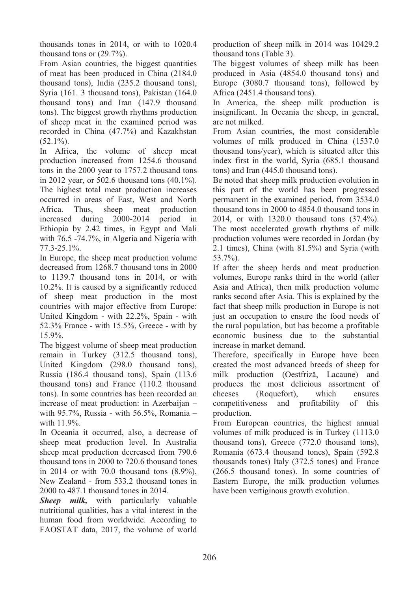thousands tones in 2014, or with to 1020.4 thousand tons or (29.7%).

From Asian countries, the biggest quantities of meat has been produced in China (2184.0 thousand tons), India (235.2 thousand tons), Syria (161. 3 thousand tons), Pakistan (164.0 thousand tons) and Iran (147.9 thousand tons). The biggest growth rhythms production of sheep meat in the examined period was recorded in China (47.7%) and Kazakhstan  $(52.1\%)$ .

In Africa, the volume of sheep meat production increased from 1254.6 thousand tons in the 2000 year to 1757.2 thousand tons in 2012 year, or 502.6 thousand tons (40.1%). The highest total meat production increases occurred in areas of East, West and North Africa. Thus, sheep meat production increased during 2000-2014 period in Ethiopia by 2.42 times, in Egypt and Mali with 76.5 -74.7%, in Algeria and Nigeria with 77.3-25.1%.

In Europe, the sheep meat production volume decreased from 1268.7 thousand tons in 2000 to 1139.7 thousand tons in 2014, or with 10.2%. It is caused by a significantly reduced of sheep meat production in the most countries with major effective from Europe: United Kingdom - with 22.2%, Spain - with 52.3% France - with 15.5%, Greece - with by 15.9%.

The biggest volume of sheep meat production remain in Turkey (312.5 thousand tons), United Kingdom (298.0 thousand tons), Russia (186.4 thousand tons), Spain (113.6 thousand tons) and France (110.2 thousand tons). In some countries has been recorded an increase of meat production: in Azerbaijan – with 95.7%, Russia - with 56.5%, Romania – with 11.9%.

In Oceania it occurred, also, a decrease of sheep meat production level. In Australia sheep meat production decreased from 790.6 thousand tons in 2000 to 720.6 thousand tones in 2014 or with 70.0 thousand tons (8.9%), New Zealand - from 533.2 thousand tones in 2000 to 487.1 thousand tones in 2014.

*Sheep milk,* with particularly valuable nutritional qualities, has a vital interest in the human food from worldwide. According to FAOSTAT data, 2017, the volume of world production of sheep milk in 2014 was 10429.2 thousand tons (Table 3).

The biggest volumes of sheep milk has been produced in Asia (4854.0 thousand tons) and Europe (3080.7 thousand tons), followed by Africa (2451.4 thousand tons).

In America, the sheep milk production is insignificant. In Oceania the sheep, in general, are not milked.

From Asian countries, the most considerable volumes of milk produced in China (1537.0 thousand tons/year), which is situated after this index first in the world, Syria (685.1 thousand tons) and Iran (445.0 thousand tons).

Be noted that sheep milk production evolution in this part of the world has been progressed permanent in the examined period, from 3534.0 thousand tons in 2000 to 4854.0 thousand tons in 2014, or with 1320.0 thousand tons (37.4%). The most accelerated growth rhythms of milk production volumes were recorded in Jordan (by 2.1 times), China (with 81.5%) and Syria (with 53.7%).

If after the sheep herds and meat production volumes, Europe ranks third in the world (after Asia and Africa), then milk production volume ranks second after Asia. This is explained by the fact that sheep milk production in Europe is not just an occupation to ensure the food needs of the rural population, but has become a profitable economic business due to the substantial increase in market demand.

Therefore, specifically in Europe have been created the most advanced breeds of sheep for milk production (Oestfriză, Lacaune) and produces the most delicious assortment of cheeses (Roquefort), which ensures competitiveness and profitability of this production.

From European countries, the highest annual volumes of milk produced is in Turkey (1113.0 thousand tons), Greece (772.0 thousand tons), Romania (673.4 thousand tones), Spain (592.8 thousands tones) Italy (372.5 tones) and France (266.5 thousand tones). In some countries of Eastern Europe, the milk production volumes have been vertiginous growth evolution.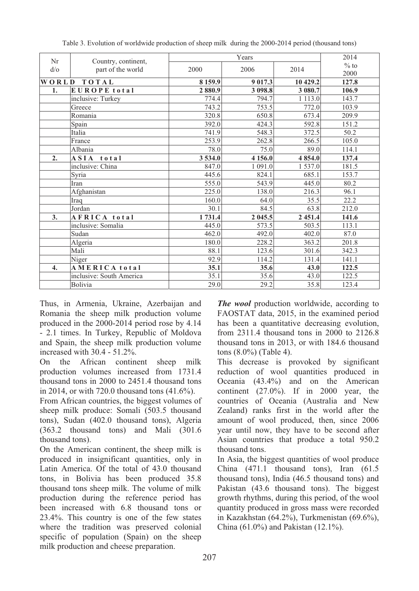| Nr             | Country, continent,      |             | 2014       |            |                |
|----------------|--------------------------|-------------|------------|------------|----------------|
| $d$ / $\circ$  | part of the world        | 2000        | 2006       | 2014       | $%$ to<br>2000 |
| WORLD<br>TOTAL |                          | 8 1 5 9 . 9 | 9 0 1 7.3  | 10 429.2   | 127.8          |
| 1.             | <b>EUROPE</b> total      | 2880.9      | 3 098.8    | 3 080.7    | 106.9          |
|                | inclusive: Turkey        | 774.4       | 794.7      | 1 1 1 3 .0 | 143.7          |
|                | Greece                   | 743.2       | 753.5      | 772.0      | 103.9          |
|                | Romania                  | 320.8       | 650.8      | 673.4      | 209.9          |
|                | Spain                    | 392.0       | 424.3      | 592.8      | 151.2          |
|                | Italia                   | 741.9       | 548.3      | 372.5      | 50.2           |
|                | France                   | 253.9       | 262.8      | 266.5      | 105.0          |
|                | Albania                  | 78.0        | 75.0       | 89.0       | 114.1          |
| 2.             | <b>ASIA</b><br>total     | 3534.0      | 4 1 5 6 .0 | 4854.0     | 137.4          |
|                | inclusive: China         | 847.0       | 1 0 9 1 .0 | 1537.0     | 181.5          |
|                | Syria                    | 445.6       | 824.1      | 685.1      | 153.7          |
|                | Iran                     | 555.0       | 543.9      | 445.0      | 80.2           |
|                | Afghanistan              | 225.0       | 138.0      | 216.3      | 96.1           |
|                | Iraq                     | 160.0       | 64.0       | 35.5       | 22.2           |
|                | Jordan                   | 30.1        | 84.5       | 63.8       | 212.0          |
| 3.             | AFRICA total             | 1731.4      | 2 045.5    | 2 451.4    | 141.6          |
|                | inclusive: Somalia       | 445.0       | 573.5      | 503.5      | 113.1          |
|                | Sudan                    | 462.0       | 492.0      | 402.0      | 87.0           |
|                | Algeria                  | 180.0       | 228.2      | 363.2      | 201.8          |
|                | Mali                     | 88.1        | 123.6      | 301.6      | 342.3          |
|                | Niger                    | 92.9        | 114.2      | 131.4      | 141.1          |
| 4.             | <b>AMERICA</b> total     | 35.1        | 35.6       | 43.0       | 122.5          |
|                | inclusive: South America | 35.1        | 35.6       | 43.0       | 122.5          |
|                | <b>Bolivia</b>           | 29.0        | 29.2       | 35.8       | 123.4          |

Table 3. Evolution of worldwide production of sheep milk during the 2000-2014 period (thousand tons)

Thus, in Armenia, Ukraine, Azerbaijan and Romania the sheep milk production volume produced in the 2000-2014 period rose by 4.14 - 2.1 times. In Turkey, Republic of Moldova and Spain, the sheep milk production volume increased with 30.4 - 51.2%.

On the African continent sheep milk production volumes increased from 1731.4 thousand tons in 2000 to 2451.4 thousand tons in 2014, or with 720.0 thousand tons (41.6%).

From African countries, the biggest volumes of sheep milk produce: Somali (503.5 thousand tons), Sudan (402.0 thousand tons), Algeria (363.2 thousand tons) and Mali (301.6 thousand tons).

On the American continent, the sheep milk is produced in insignificant quantities, only in Latin America. Of the total of 43.0 thousand tons, in Bolivia has been produced 35.8 thousand tons sheep milk. The volume of milk production during the reference period has been increased with 6.8 thousand tons or 23.4%. This country is one of the few states where the tradition was preserved colonial specific of population (Spain) on the sheep milk production and cheese preparation.

*The wool* production worldwide, according to FAOSTAT data, 2015, in the examined period has been a quantitative decreasing evolution, from 2311.4 thousand tons in 2000 to 2126.8 thousand tons in 2013, or with 184.6 thousand tons (8.0%) (Table 4).

This decrease is provoked by significant reduction of wool quantities produced in Oceania (43.4%) and on the American continent  $(27.0\%)$ . If in 2000 year, the countries of Oceania (Australia and New Zealand) ranks first in the world after the amount of wool produced, then, since 2006 year until now, they have to be second after Asian countries that produce a total 950.2 thousand tons.

In Asia, the biggest quantities of wool produce China (471.1 thousand tons), Iran (61.5 thousand tons), India (46.5 thousand tons) and Pakistan (43.6 thousand tons). The biggest growth rhythms, during this period, of the wool quantity produced in gross mass were recorded in Kazakhstan (64.2%), Turkmenistan (69.6%), China (61.0%) and Pakistan (12.1%).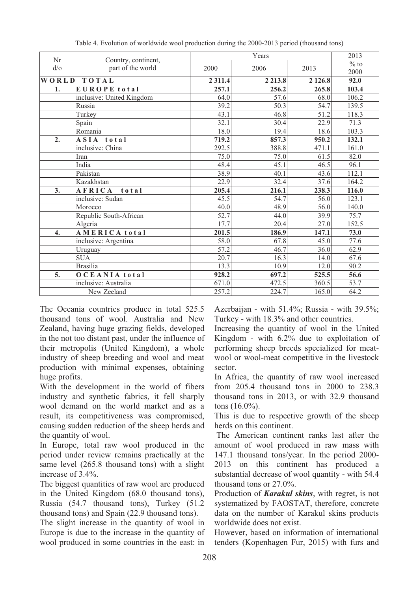| Nr                    |                                          |           | 2013       |           |                |
|-----------------------|------------------------------------------|-----------|------------|-----------|----------------|
| $d$ / $\circ$         | Country, continent,<br>part of the world | 2000      | 2006       | 2013      | $%$ to<br>2000 |
| <b>TOTAL</b><br>WORLD |                                          | 2 3 1 1.4 | 2 2 1 3 .8 | 2 1 2 6.8 | 92.0           |
| 1.                    | <b>EUROPE</b> total                      | 257.1     | 256.2      | 265.8     | 103.4          |
|                       | inclusive: United Kingdom                | 64.0      | 57.6       | 68.0      | 106.2          |
|                       | Russia                                   | 39.2      | 50.3       | 54.7      | 139.5          |
|                       | Turkey                                   | 43.1      | 46.8       | 51.2      | 118.3          |
|                       | Spain                                    | 32.1      | 30.4       | 22.9      | 71.3           |
|                       | Romania                                  | 18.0      | 19.4       | 18.6      | 103.3          |
| 2.                    | ASIA total                               | 719.2     | 857.3      | 950.2     | 132.1          |
|                       | inclusive: China                         | 292.5     | 388.8      | 471.1     | 161.0          |
|                       | Iran                                     | 75.0      | 75.0       | 61.5      | 82.0           |
|                       | India                                    | 48.4      | 45.1       | 46.5      | 96.1           |
|                       | Pakistan                                 | 38.9      | 40.1       | 43.6      | 112.1          |
|                       | Kazakhstan                               | 22.9      | 32.4       | 37.6      | 164.2          |
| 3.                    | <b>AFRICA</b><br>total                   | 205.4     | 216.1      | 238.3     | 116.0          |
|                       | inclusive: Sudan                         | 45.5      | 54.7       | 56.0      | 123.1          |
|                       | Morocco                                  | 40.0      | 48.9       | 56.0      | 140.0          |
|                       | Republic South-African                   | 52.7      | 44.0       | 39.9      | 75.7           |
|                       | Algeria                                  | 17.7      | 20.4       | 27.0      | 152.5          |
| 4.                    | AMERICA total                            | 201.5     | 186.9      | 147.1     | 73.0           |
|                       | inclusive: Argentina                     | 58.0      | 67.8       | 45.0      | 77.6           |
|                       | Uruguay                                  | 57.2      | 46.7       | 36.0      | 62.9           |
|                       | <b>SUA</b>                               | 20.7      | 16.3       | 14.0      | 67.6           |
|                       | <b>Brasilia</b>                          | 13.3      | 10.9       | 12.0      | 90.2           |
| 5.                    | <b>OCEANIA</b> total                     | 928.2     | 697.2      | 525.5     | 56.6           |
|                       | inclusive: Australia                     | 671.0     | 472.5      | 360.5     | 53.7           |
|                       | New Zeeland                              | 257.2     | 224.7      | 165.0     | 64.2           |

The Oceania countries produce in total 525.5 thousand tons of wool. Australia and New Zealand, having huge grazing fields, developed in the not too distant past, under the influence of their metropolis (United Kingdom), a whole industry of sheep breeding and wool and meat production with minimal expenses, obtaining huge profits.

With the development in the world of fibers industry and synthetic fabrics, it fell sharply wool demand on the world market and as a result, its competitiveness was compromised, causing sudden reduction of the sheep herds and the quantity of wool.

In Europe, total raw wool produced in the period under review remains practically at the same level (265.8 thousand tons) with a slight increase of 3.4%.

The biggest quantities of raw wool are produced in the United Kingdom (68.0 thousand tons), Russia (54.7 thousand tons), Turkey (51.2 thousand tons) and Spain (22.9 thousand tons).

The slight increase in the quantity of wool in Europe is due to the increase in the quantity of wool produced in some countries in the east: in Azerbaijan - with 51.4%; Russia - with 39.5%; Turkey - with 18.3% and other countries.

Increasing the quantity of wool in the United Kingdom - with 6.2% due to exploitation of performing sheep breeds specialized for meatwool or wool-meat competitive in the livestock sector.

In Africa, the quantity of raw wool increased from 205.4 thousand tons in 2000 to 238.3 thousand tons in 2013, or with 32.9 thousand tons (16.0%).

This is due to respective growth of the sheep herds on this continent.

 The American continent ranks last after the amount of wool produced in raw mass with 147.1 thousand tons/year. In the period 2000- 2013 on this continent has produced a substantial decrease of wool quantity - with 54.4 thousand tons or 27.0%.

Production of *Karakul skins*, with regret, is not systematized by FAOSTAT, therefore, concrete data on the number of Karakul skins products worldwide does not exist.

However, based on information of international tenders (Kopenhagen Fur, 2015) with furs and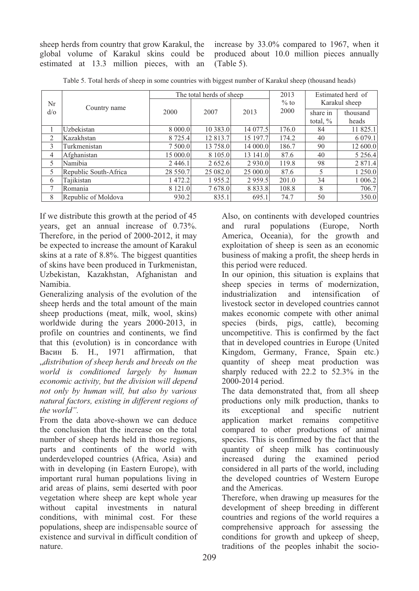sheep herds from country that grow Karakul, the global volume of Karakul skins could be estimated at 13.3 million pieces, with an increase by 33.0% compared to 1967, when it produced about 10.0 million pieces annually (Table 5).

Table 5. Total herds of sheep in some countries with biggest number of Karakul sheep (thousand heads)

|                | Country name          | The total herds of sheep |             |             | 2013    | Estimated herd of |            |
|----------------|-----------------------|--------------------------|-------------|-------------|---------|-------------------|------------|
| Nr             |                       |                          |             |             | $\%$ to | Karakul sheep     |            |
| $d$ /0         |                       | 2000                     | 2007        | 2013        | 2000    | share in          | thousand   |
|                |                       |                          |             |             |         | total, $\%$       | heads      |
|                | Uzbekistan            | 8 000.0                  | 10 3 8 3.0  | 14 077.5    | 176.0   | 84                | 11 825.1   |
| $\overline{2}$ | Kazakhstan            | 8 725.4                  | 12 813.7    | 15 197.7    | 174.2   | 40                | 6 0 79.1   |
| 3              | Turkmenistan          | 7 500.0                  | 13 758.0    | 14 000.0    | 186.7   | 90                | 12 600.0   |
| 4              | Afghanistan           | 15 000.0                 | 8 1 0 5 .0  | 13 14 1.0   | 87.6    | 40                | 5 2 5 6 .4 |
| 5              | Namibia               | 2 4 4 6 .1               | 2 6 5 2 . 6 | 2 9 3 0 .0  | 119.8   | 98                | 2 871.4    |
| 5              | Republic South-Africa | 28 550.7                 | 25 082.0    | 25 000.0    | 87.6    | 5                 | 1 250.0    |
| 6              | Tajikistan            | 1472.2                   | 1955.2      | 2959.5      | 201.0   | 34                | 1 006.2    |
| $\overline{ }$ | Romania               | 8 121.0                  | 7678.0      | 8 8 3 3 . 8 | 108.8   | 8                 | 706.7      |
| 8              | Republic of Moldova   | 930.2                    | 835.1       | 695.1       | 74.7    | 50                | 350.0      |

If we distribute this growth at the period of 45 years, get an annual increase of 0.73%. Therefore, in the period of 2000-2012, it may be expected to increase the amount of Karakul skins at a rate of 8.8%. The biggest quantities of skins have been produced in Turkmenistan, Uzbekistan, Kazakhstan, Afghanistan and Namibia.

Generalizing analysis of the evolution of the sheep herds and the total amount of the main sheep productions (meat, milk, wool, skins) worldwide during the years 2000-2013, in profile on countries and continents, we find that this (evolution) is in concordance with Васин Б. Н., 1971 affirmation, that "*distribution of sheep herds and breeds on the world is conditioned largely by human economic activity, but the division will depend not only by human will, but also by various natural factors, existing in different regions of the world".*

From the data above-shown we can deduce the conclusion that the increase on the total number of sheep herds held in those regions, parts and continents of the world with underdeveloped countries (Africa, Asia) and with in developing (in Eastern Europe), with important rural human populations living in arid areas of plains, semi deserted with poor vegetation where sheep are kept whole year without capital investments in natural conditions, with minimal cost. For these populations, sheep are indispensable source of existence and survival in difficult condition of nature.

Also, on continents with developed countries and rural populations (Europe, North America, Oceania), for the growth and exploitation of sheep is seen as an economic business of making a profit, the sheep herds in this period were reduced.

In our opinion, this situation is explains that sheep species in terms of modernization, industrialization and intensification of livestock sector in developed countries cannot makes economic compete with other animal species (birds, pigs, cattle), becoming uncompetitive. This is confirmed by the fact that in developed countries in Europe (United Kingdom, Germany, France, Spain etc.) quantity of sheep meat production was sharply reduced with 22.2 to 52.3% in the 2000-2014 period.

The data demonstrated that, from all sheep productions only milk production, thanks to its exceptional and specific nutrient application market remains competitive compared to other productions of animal species. This is confirmed by the fact that the quantity of sheep milk has continuously increased during the examined period considered in all parts of the world, including the developed countries of Western Europe and the Americas.

Therefore, when drawing up measures for the development of sheep breeding in different countries and regions of the world requires a comprehensive approach for assessing the conditions for growth and upkeep of sheep, traditions of the peoples inhabit the socio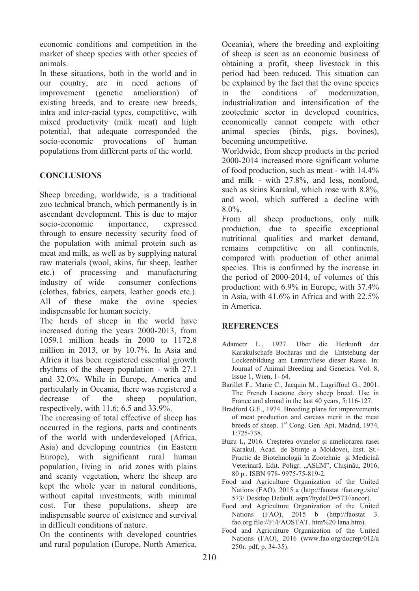economic conditions and competition in the market of sheep species with other species of animals.

In these situations, both in the world and in our country, are in need actions of improvement (genetic amelioration) of existing breeds, and to create new breeds, intra and inter-racial types, competitive, with mixed productivity (milk meat) and high potential, that adequate corresponded the socio-economic provocations of human populations from different parts of the world.

# **CONCLUSIONS**

Sheep breeding, worldwide, is a traditional zoo technical branch, which permanently is in ascendant development. This is due to major socio-economic importance, expressed through to ensure necessity security food of the population with animal protein such as meat and milk, as well as by supplying natural raw materials (wool, skins, fur sheep, leather etc.) of processing and manufacturing industry of wide consumer confections (clothes, fabrics, carpets, leather goods etc.). All of these make the ovine species indispensable for human society.

The herds of sheep in the world have increased during the years 2000-2013, from 1059.1 million heads in 2000 to 1172.8 million in 2013, or by 10.7%. In Asia and Africa it has been registered essential growth rhythms of the sheep population - with 27.1 and 32.0%. While in Europe, America and particularly in Oceania, there was registered a decrease of the sheep population, respectively, with 11.6; 6.5 and 33.9%.

The increasing of total effective of sheep has occurred in the regions, parts and continents of the world with underdeveloped (Africa, Asia) and developing countries (in Eastern Europe), with significant rural human population, living in arid zones with plains and scanty vegetation, where the sheep are kept the whole year in natural conditions, without capital investments, with minimal cost. For these populations, sheep are indispensable source of existence and survival in difficult conditions of nature.

On the continents with developed countries and rural population (Europe, North America,

Oceania), where the breeding and exploiting of sheep is seen as an economic business of obtaining a profit, sheep livestock in this period had been reduced. This situation can be explained by the fact that the ovine species in the conditions of modernization, industrialization and intensification of the zootechnic sector in developed countries, economically cannot compete with other animal species (birds, pigs, bovines), becoming uncompetitive.

Worldwide, from sheep products in the period 2000-2014 increased more significant volume of food production, such as meat - with 14.4% and milk - with 27.8%, and less, nonfood, such as skins Karakul, which rose with 8.8%, and wool, which suffered a decline with  $8.0\%$ .

From all sheep productions, only milk production, due to specific exceptional nutritional qualities and market demand, remains competitive on all continents, compared with production of other animal species. This is confirmed by the increase in the period of 2000-2014, of volumes of this production: with 6.9% in Europe, with 37.4% in Asia, with 41.6% in Africa and with 22.5% in America.

## **REFERENCES**

- Adametz L., 1927. Uber die Herkunft der Karakulschafe Bocharas und die Entstehung der Lockenbildung am Lammvliese dieser Rasse. In: Journal of Animal Breeding and Genetics. Vol. 8, Issue 1, Wien, 1- 64.
- Barillet F., Marie C., Jacquin M., Lagriffoul G., 2001. The French Lacaune dairy sheep breed. Use in France and abroad in the last 40 years, 5:116-127.
- Bradford G.E., 1974. Breeding plans for improvements of meat production and carcass merit in the meat breeds of sheep. 1<sup>st</sup> Cong. Gen. Api. Madrid, 1974, 1:725-738.
- Buzu I**.,** 2016. Creşterea ovinelor şi ameliorarea rasei Karakul. Acad. de Stiinte a Moldovei, Inst. St.-Practic de Biotehnologii în Zootehnie şi Medicină Veterinară. Edit. Poligr. "ASEM", Chișinău, 2016, 80 p., ISBN 978- 9975-75-819-2.
- Food and Agriculture Organization of the United Nations (FAO), 2015 a (http://faostat /fao.org./site/ 573/ Desktop Default. aspx?hydeID=573//ancor).
- Food and Agriculture Organization of the United Nations (FAO), 2015 b (http://faostat 3. fao.org.file://F:/FAOSTAT. htm%20 lana.htm).
- Food and Agriculture Organization of the United Nations (FAO), 2016 (www.fao.org/docrep/012/a 250r. pdf, p. 34-35).